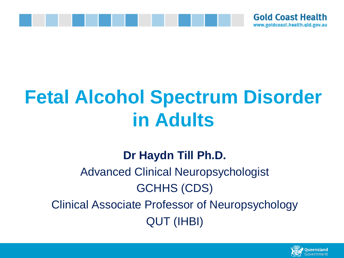

# **Fetal Alcohol Spectrum Disorder in Adults**

#### **Dr Haydn Till Ph.D.**

### Advanced Clinical Neuropsychologist GCHHS (CDS) Clinical Associate Professor of Neuropsychology QUT (IHBI)

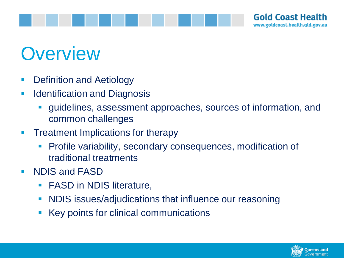

# **Overview**

- Definition and Aetiology
- **E** Identification and Diagnosis
	- guidelines, assessment approaches, sources of information, and common challenges
- **Treatment Implications for therapy** 
	- Profile variability, secondary consequences, modification of traditional treatments
- NDIS and FASD
	- **FASD in NDIS literature,**
	- **NDIS issues/adjudications that influence our reasoning**
	- Key points for clinical communications

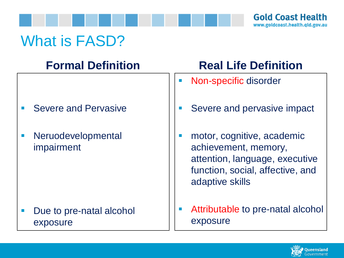

### What is FASD?

### **Formal Definition**

- **Severe and Pervasive**
- Neruodevelopmental impairment

Due to pre-natal alcohol exposure

### **Real Life Definition**

- Non-specific disorder
- Severe and pervasive impact
- motor, cognitive, academic achievement, memory, attention, language, executive function, social, affective, and adaptive skills
- Attributable to pre-natal alcohol exposure

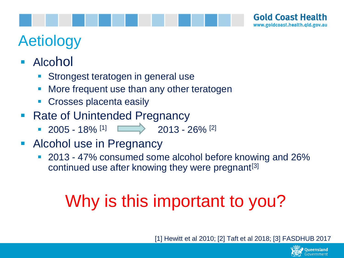

# Aetiology

- Alcohol
	- Strongest teratogen in general use
	- **More frequent use than any other teratogen**
	- Crosses placenta easily
- Rate of Unintended Pregnancy
	- $\sim$  2005 18% <sup>[1]</sup>  $\sim$  2013 26% <sup>[2]</sup>
- **EXECOROL USE In Pregnancy** 
	- 2013 47% consumed some alcohol before knowing and 26% continued use after knowing they were pregnant<sup>[3]</sup>

# Why is this important to you?

[1] Hewitt et al 2010; [2] Taft et al 2018; [3] FASDHUB 2017

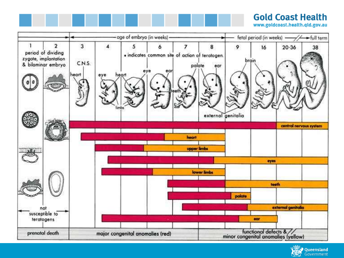#### **Gold Coast Health**

www.goldcoast.health.qld.gov.au



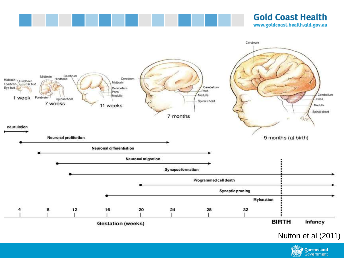

#### **Gold Coast Health** www.goldcoast.health.qld.gov.au



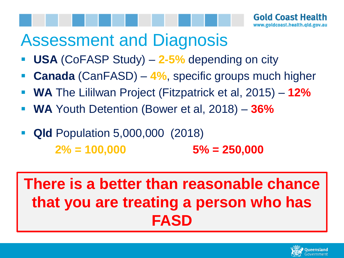# Assessment and Diagnosis

- **USA** (CoFASP Study) 2-5% depending on city
- **Canada** (CanFASD) 4%, specific groups much higher
- **WA** The Lililwan Project (Fitzpatrick et al, 2015) **12%**
- **WA** Youth Detention (Bower et al, 2018) **36%**
- **Qld** Population 5,000,000 (2018) **2% = 100,000 5% = 250,000**

## **There is a better than reasonable chance that you are treating a person who has FASD**

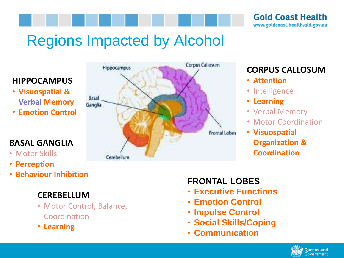

# Regions Impacted by Alcohol

#### **HIPPOCAMPUS**

- **Visuospatial & Verbal Memory**
- **Emotion Control**

#### **BASAL GANGLIA**

- Motor Skills
- **Perception**
- **Behaviour Inhibition**



#### **CORPUS CALLOSUM**

- **Attention**
- Intelligence
- **Learning**
- Verbal Memory
- Motor Coordination
- **Visuospatial Organization & Coordination**

#### **CEREBELLUM**

- Motor Control, Balance, Coordination
- **Learning**

#### **FRONTAL LOBES**

- **Executive Functions**
- **Emotion Control**
- **Impulse Control**
- **Social Skills/Coping**
- **Communication**

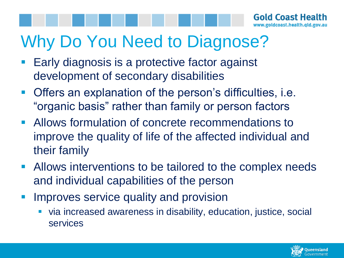# Why Do You Need to Diagnose?

- Early diagnosis is a protective factor against development of secondary disabilities
- Offers an explanation of the person's difficulties, i.e. "organic basis" rather than family or person factors
- Allows formulation of concrete recommendations to improve the quality of life of the affected individual and their family
- **EXEDENT Allows interventions to be tailored to the complex needs** and individual capabilities of the person
- Improves service quality and provision
	- via increased awareness in disability, education, justice, social services

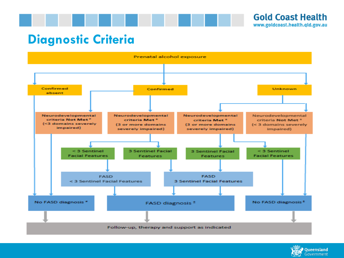



#### **Diagnostic Criteria**



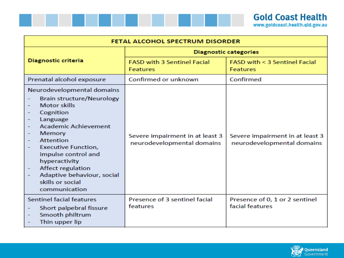

| FETAL ALCOHOL SPECTRUM DISORDER                                                                                                                                                                                                                                                                                                                                                                                                                                                                                   |                                                               |                                                               |
|-------------------------------------------------------------------------------------------------------------------------------------------------------------------------------------------------------------------------------------------------------------------------------------------------------------------------------------------------------------------------------------------------------------------------------------------------------------------------------------------------------------------|---------------------------------------------------------------|---------------------------------------------------------------|
|                                                                                                                                                                                                                                                                                                                                                                                                                                                                                                                   | <b>Diagnostic categories</b>                                  |                                                               |
| Diagnostic criteria                                                                                                                                                                                                                                                                                                                                                                                                                                                                                               | <b>FASD with 3 Sentinel Facial</b><br><b>Features</b>         | FASD with < 3 Sentinel Facial<br><b>Features</b>              |
| Prenatal alcohol exposure                                                                                                                                                                                                                                                                                                                                                                                                                                                                                         | Confirmed or unknown                                          | Confirmed                                                     |
| Neurodevelopmental domains<br><b>Brain structure/Neurology</b><br><b>Motor skills</b><br>Cognition<br>Language<br>$\overline{\phantom{m}}$<br><b>Academic Achievement</b><br>$\overline{\phantom{m}}$<br>Memory<br><b>Attention</b><br>$\overline{\phantom{a}}$<br><b>Executive Function,</b><br>$\overline{\phantom{a}}$<br>impulse control and<br>hyperactivity<br>Affect regulation<br>$\overline{\phantom{m}}$<br>Adaptive behaviour, social<br>$\overline{\phantom{a}}$<br>skills or social<br>communication | Severe impairment in at least 3<br>neurodevelopmental domains | Severe impairment in at least 3<br>neurodevelopmental domains |
| Sentinel facial features<br>Short palpebral fissure<br>Smooth philtrum<br>$\overline{\phantom{m}}$<br>Thin upper lip<br>$\overline{\phantom{m}}$                                                                                                                                                                                                                                                                                                                                                                  | Presence of 3 sentinel facial<br>features                     | Presence of 0, 1 or 2 sentinel<br>facial features             |

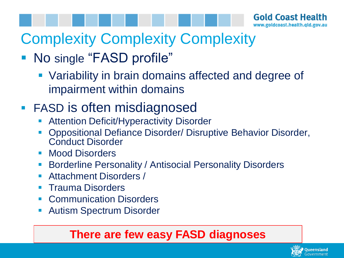# Complexity Complexity Complexity

### ■ No single "FASD profile"

■ Variability in brain domains affected and degree of impairment within domains

### ■ FASD is often misdiagnosed

- **Attention Deficit/Hyperactivity Disorder**
- Oppositional Defiance Disorder/ Disruptive Behavior Disorder, Conduct Disorder
- Mood Disorders
- Borderline Personality / Antisocial Personality Disorders
- Attachment Disorders /
- **Trauma Disorders**
- Communication Disorders
- Autism Spectrum Disorder

#### **There are few easy FASD diagnoses**

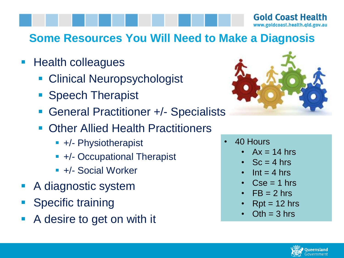#### **Gold Coast Health** www.goldcoast.health.qld.gov.au

#### **Some Resources You Will Need to Make a Diagnosis**

- Health colleagues
	- Clinical Neuropsychologist
	- Speech Therapist
	- General Practitioner +/- Specialists
	- **Other Allied Health Practitioners** 
		- +/- Physiotherapist
		- +/- Occupational Therapist
		- +/- Social Worker
- A diagnostic system
- **Specific training**
- A desire to get on with it



- 40 Hours
	- $Ax = 14$  hrs
	- $Sc = 4$  hrs
	- $\cdot$  Int = 4 hrs
	- $Cse = 1$  hrs
	- $FB = 2 hrs$
	- $Rpt = 12 hrs$
	- $Oth = 3$  hrs

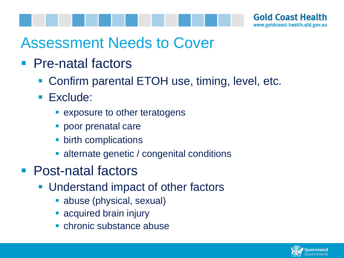

### Assessment Needs to Cover

- Pre-natal factors
	- Confirm parental ETOH use, timing, level, etc.
	- Exclude:
		- exposure to other teratogens
		- poor prenatal care
		- birth complications
		- alternate genetic / congenital conditions
- Post-natal factors
	- Understand impact of other factors
		- **E** abuse (physical, sexual)
		- **E** acquired brain injury
		- chronic substance abuse

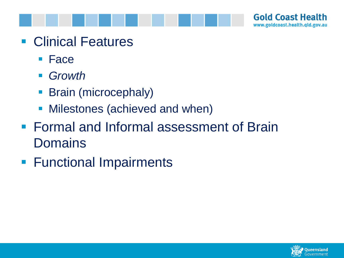



- Clinical Features
	- Face
	- *Growth*
	- **Brain (microcephaly)**
	- Milestones (achieved and when)
- Formal and Informal assessment of Brain **Domains**
- **E** Functional Impairments

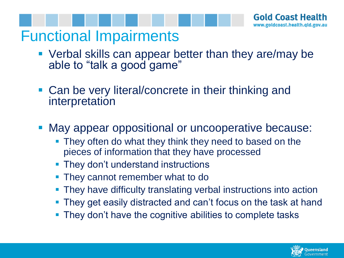### Functional Impairments

- Verbal skills can appear better than they are/may be able to "talk a good game"
- Can be very literal/concrete in their thinking and interpretation
- May appear oppositional or uncooperative because:
	- **They often do what they think they need to based on the** pieces of information that they have processed
	- They don't understand instructions
	- They cannot remember what to do
	- They have difficulty translating verbal instructions into action
	- They get easily distracted and can't focus on the task at hand
	- They don't have the cognitive abilities to complete tasks

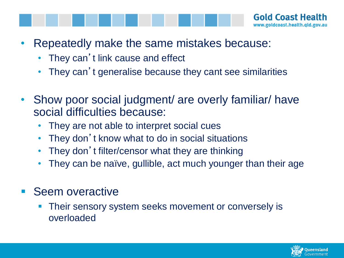- Repeatedly make the same mistakes because:
	- They can't link cause and effect
	- They can't generalise because they cant see similarities
- Show poor social judgment/ are overly familiar/ have social difficulties because:
	- They are not able to interpret social cues
	- They don't know what to do in social situations
	- They don't filter/censor what they are thinking
	- They can be naïve, gullible, act much younger than their age
- **Seem overactive** 
	- Their sensory system seeks movement or conversely is overloaded

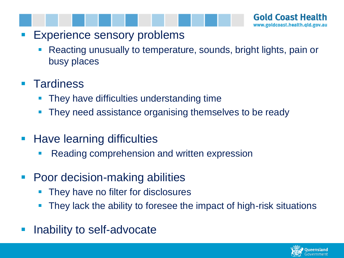- Experience sensory problems
	- Reacting unusually to temperature, sounds, bright lights, pain or busy places

#### ■ Tardiness

- They have difficulties understanding time
- They need assistance organising themselves to be ready
- Have learning difficulties
	- Reading comprehension and written expression
- Poor decision-making abilities
	- They have no filter for disclosures
	- They lack the ability to foresee the impact of high-risk situations
- Inability to self-advocate

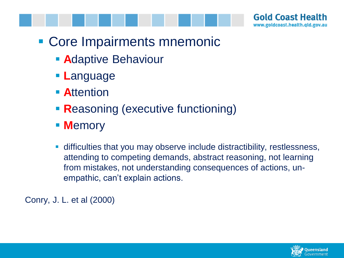

- Core Impairments mnemonic
	- **A**daptive Behaviour
	- **L**anguage
	- **E** Attention
	- **Reasoning (executive functioning)**
	- **M**emory
	- difficulties that you may observe include distractibility, restlessness, attending to competing demands, abstract reasoning, not learning from mistakes, not understanding consequences of actions, unempathic, can't explain actions.

Conry, J. L. et al (2000)

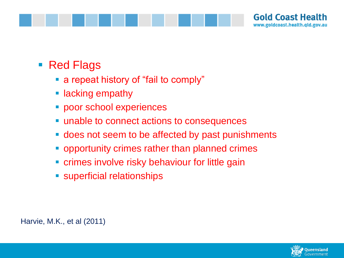

#### ■ Red Flags

- a repeat history of "fail to comply"
- **E** lacking empathy
- **· poor school experiences**
- unable to connect actions to consequences
- does not seem to be affected by past punishments
- opportunity crimes rather than planned crimes
- **Example 2** crimes involve risky behaviour for little gain
- **E** superficial relationships

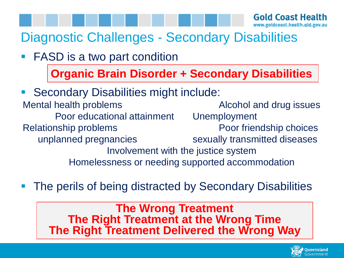### Diagnostic Challenges - Secondary Disabilities

■ FASD is a two part condition

**Organic Brain Disorder + Secondary Disabilities**

- Secondary Disabilities might include: Mental health problems Mental health problems Alcohol and drug issues Poor educational attainment Unemployment Relationship problems **Poor friendship choices** unplanned pregnancies sexually transmitted diseases Involvement with the justice system Homelessness or needing supported accommodation
- The perils of being distracted by Secondary Disabilities

**The Wrong Treatment The Right Treatment at the Wrong Time The Right Treatment Delivered the Wrong Way**

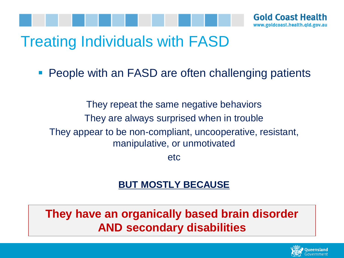

### Treating Individuals with FASD

■ People with an FASD are often challenging patients

They repeat the same negative behaviors They are always surprised when in trouble They appear to be non-compliant, uncooperative, resistant, manipulative, or unmotivated

etc

#### **BUT MOSTLY BECAUSE**

**They have an organically based brain disorder AND secondary disabilities**

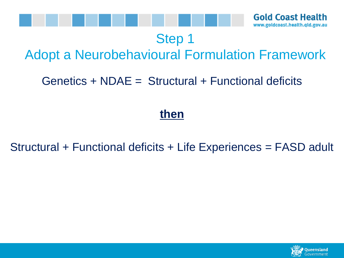

#### Step 1

### Adopt a Neurobehavioural Formulation Framework

#### Genetics + NDAE = Structural + Functional deficits

#### **then**

#### Structural + Functional deficits + Life Experiences = FASD adult

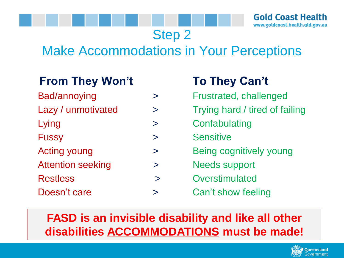Step 2

### Make Accommodations in Your Perceptions

#### **From They Won't To They Can't**

| $\bf{ }$    |
|-------------|
| $\check{ }$ |
| $\geq$      |
| ↘           |
| $\check{~}$ |
|             |

- Restless **by Section** Section 2 and 2 and 2 and 2 and 2 and 2 and 2 and 2 and 2 and 2 and 2 and 2 and 2 and 2 and 2 and 2 and 2 and 2 and 2 and 2 and 2 and 2 and 2 and 2 and 2 and 2 and 2 and 2 and 2 and 2 and 2 and 2 and
- 

- Frustrated, challenged
- Trying hard / tired of failing
	- **Confabulating**
- **Sensitive**
- Being cognitively young
	- Needs support
		-
- Doesn't care  $\longrightarrow$  Can't show feeling

#### **FASD is an invisible disability and like all other disabilities ACCOMMODATIONS must be made!**

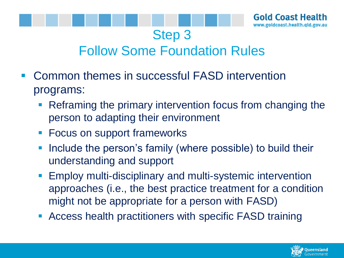

### Follow Some Foundation Rules

Step 3

- Common themes in successful FASD intervention programs:
	- Reframing the primary intervention focus from changing the person to adapting their environment
	- Focus on support frameworks
	- **Include the person's family (where possible) to build their** understanding and support
	- **Employ multi-disciplinary and multi-systemic intervention** approaches (i.e., the best practice treatment for a condition might not be appropriate for a person with FASD)
	- **EXECCESS health practitioners with specific FASD training**

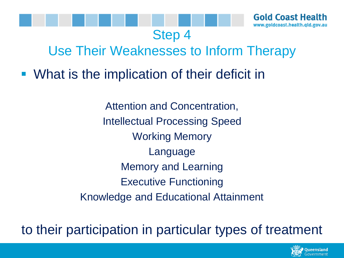

### Use Their Weaknesses to Inform Therapy

Step 4

■ What is the implication of their deficit in

Attention and Concentration, Intellectual Processing Speed Working Memory Language Memory and Learning Executive Functioning Knowledge and Educational Attainment

to their participation in particular types of treatment

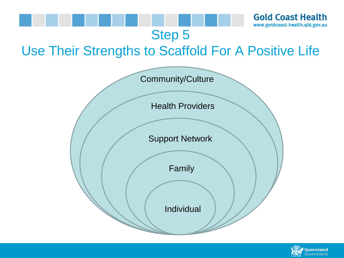

**Gold Coast Health** www.goldcoast.health.qld.gov.au

#### Step 5

### Use Their Strengths to Scaffold For A Positive Life



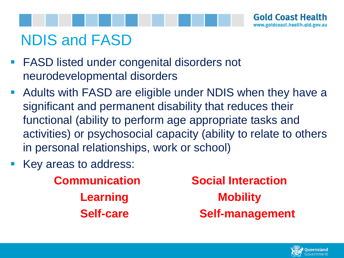

# NDIS and FASD

- FASD listed under congenital disorders not neurodevelopmental disorders
- Adults with FASD are eligible under NDIS when they have a significant and permanent disability that reduces their functional (ability to perform age appropriate tasks and activities) or psychosocial capacity (ability to relate to others in personal relationships, work or school)
- Key areas to address:

**Communication Social Interaction Learning Mobility Self-care Self-management**